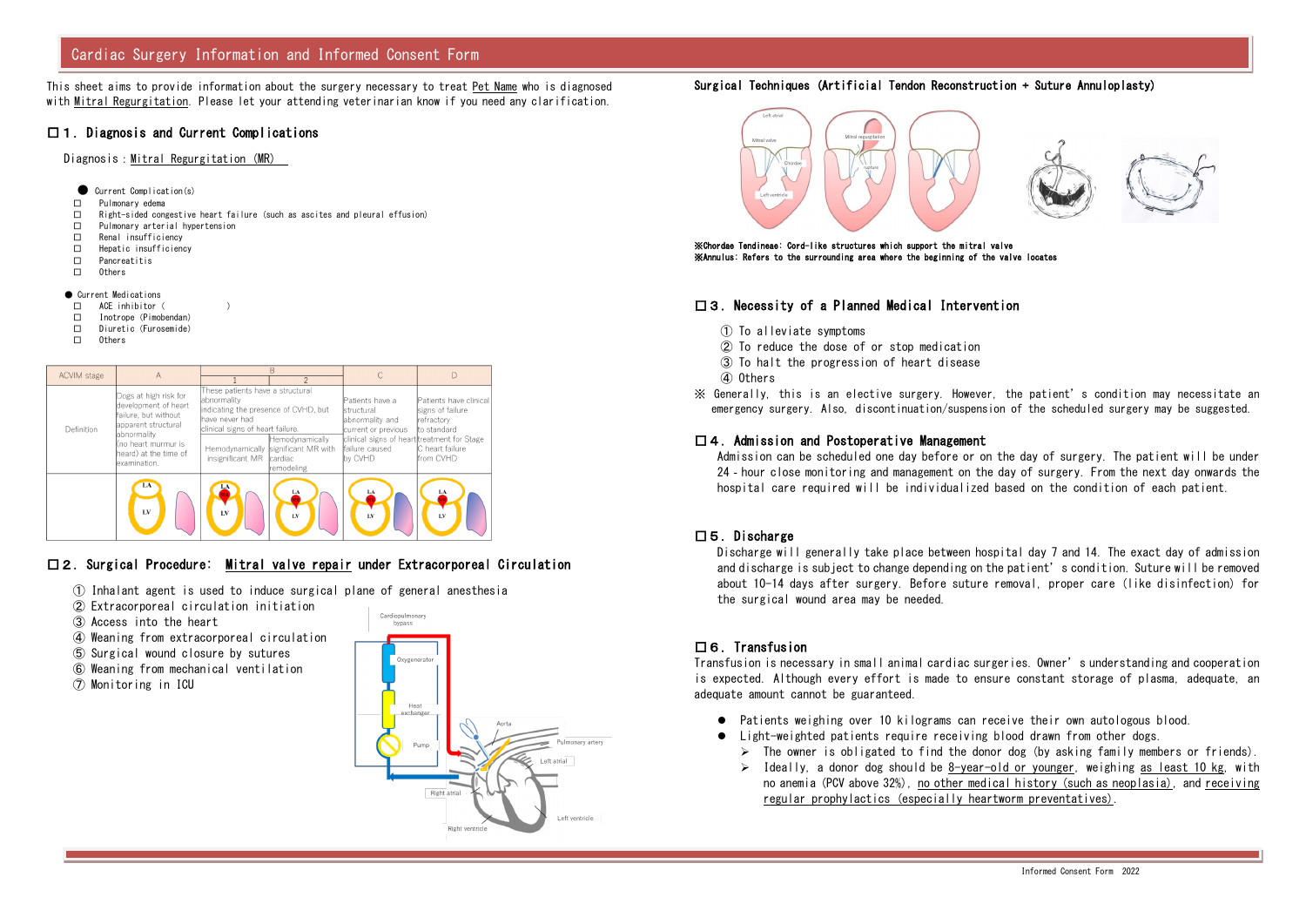This sheet aims to provide information about the surgery necessary to treat Pet Name who is diagnosed with Mitral Regurgitation. Please let your attending veterinarian know if you need any clarification.

#### □1.Diagnosis and Current Complications

Diagnosis:Mitral Regurgitation (MR)

- Current Complication(s)
- □ Pulmonary edema
- $\Box$  Right-sided congestive heart failure (such as ascites and pleural effusion)
- □ Pulmonary arterial hypertension
- □ Renal insufficiency
- □ Hepatic insufficiency
- □ Pancreatitis
- □ Others
- Current Medications
- □ ACE inhibitor( )
- □ Inotrope (Pimobendan)
- □ Diuretic(Furosemide)
- □ Others

| <b>ACVIM</b> stage | A                                                                                                                                                                             | R                                                                                                                                                                  |                                                                                 |                                                                                                                                                            |                                                                                                          |
|--------------------|-------------------------------------------------------------------------------------------------------------------------------------------------------------------------------|--------------------------------------------------------------------------------------------------------------------------------------------------------------------|---------------------------------------------------------------------------------|------------------------------------------------------------------------------------------------------------------------------------------------------------|----------------------------------------------------------------------------------------------------------|
|                    |                                                                                                                                                                               |                                                                                                                                                                    |                                                                                 |                                                                                                                                                            |                                                                                                          |
| Definition         | Dogs at high risk for<br>development of heart<br>failure, but without<br>apparent structural<br>labnormality<br>(no heart murmur is<br>heard) at the time of<br>lexamination. | These patients have a structural<br>labnormality<br>indicating the presence of CVHD, but<br>have never had<br>clinical signs of heart failure.<br>insignificant MR | Hemodynamically<br>Hemodynamically significant MR with<br>cardiac<br>remodeling | Patients have a<br><b>structural</b><br>abnormality and<br>current or previous<br>clinical signs of heart treatment for Stage<br>failure caused<br>by CVHD | Patients have clinical<br>signs of failure<br>Irefractorv<br>to standard<br>C heart failure<br>from CVHD |
|                    | LA<br>LV                                                                                                                                                                      | LV                                                                                                                                                                 | LA<br>$\mathbf{I} \mathbf{N}$                                                   | LA<br>LV                                                                                                                                                   | LA<br>I.V                                                                                                |

### □2.Surgical Procedure: Mitral valve repair under Extracorporeal Circulation

- ① Inhalant agent is used to induce surgical plane of general anesthesia
- ② Extracorporeal circulation initiation
- ③ Access into the heart
- ④ Weaning from extracorporeal circulation
- ⑤ Surgical wound closure by sutures
- ⑥ Weaning from mechanical ventilation
- ⑦ Monitoring in ICU



#### Surgical Techniques (Artificial Tendon Reconstruction + Suture Annuloplasty)



※Chordae Tendineae: Cord-like structures which support the mitral valve ※Annulus: Refers to the surrounding area where the beginning of the valve locates

#### □3.Necessity of a Planned Medical Intervention

- ① To alleviate symptoms
- ② To reduce the dose of or stop medication
- ③ To halt the progression of heart disease
- ④ Others
- ※ Generally, this is an elective surgery. However, the patient's condition may necessitate an emergency surgery. Also, discontinuation/suspension of the scheduled surgery may be suggested.

#### $\Box$  4. Admission and Postoperative Management

 $\triangleright$  The owner is obligated to find the donor dog (by asking family members or friends).  $\triangleright$  Ideally, a donor dog should be 8-year-old or younger, weighing as least 10 kg, with no anemia (PCV above 32%), no other medical history (such as neoplasia), and receiving

Admission can be scheduled one day before or on the day of surgery. The patient will be under 24‐hour close monitoring and management on the day of surgery. From the next day onwards the hospital care required will be individualized based on the condition of each patient.

#### □5.Discharge

Discharge will generally take place between hospital day 7 and 14. The exact day of admission and discharge is subject to change depending on the patient's condition. Suture will be removed about 10-14 days after surgery. Before suture removal, proper care (like disinfection) for the surgical wound area may be needed.

### □6.Transfusion

Transfusion is necessary in small animal cardiac surgeries. Owner's understanding and cooperation is expected. Although every effort is made to ensure constant storage of plasma, adequate, an adequate amount cannot be guaranteed.

- Patients weighing over 10 kilograms can receive their own autologous blood.
- Light-weighted patients require receiving blood drawn from other dogs.
	-
	- regular prophylactics (especially heartworm preventatives).



# Cardiac Surgery Information and Informed Consent Form